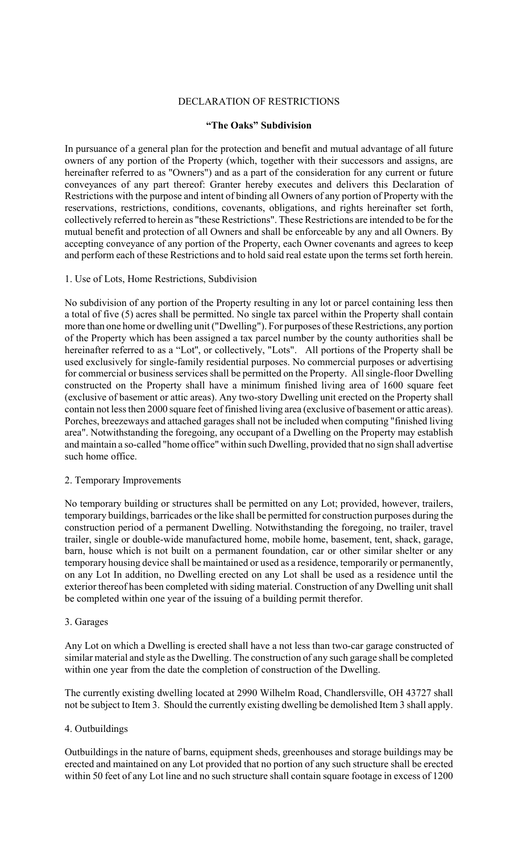### DECLARATION OF RESTRICTIONS

### **"The Oaks" Subdivision**

In pursuance of a general plan for the protection and benefit and mutual advantage of all future owners of any portion of the Property (which, together with their successors and assigns, are hereinafter referred to as "Owners") and as a part of the consideration for any current or future conveyances of any part thereof: Granter hereby executes and delivers this Declaration of Restrictions with the purpose and intent of binding all Owners of any portion of Property with the reservations, restrictions, conditions, covenants, obligations, and rights hereinafter set forth, collectively referred to herein as "these Restrictions". These Restrictions are intended to be for the mutual benefit and protection of all Owners and shall be enforceable by any and all Owners. By accepting conveyance of any portion of the Property, each Owner covenants and agrees to keep and perform each of these Restrictions and to hold said real estate upon the terms set forth herein.

### 1. Use of Lots, Home Restrictions, Subdivision

No subdivision of any portion of the Property resulting in any lot or parcel containing less then a total of five (5) acres shall be permitted. No single tax parcel within the Property shall contain more than one home or dwelling unit ("Dwelling"). For purposes of these Restrictions, any portion of the Property which has been assigned a tax parcel number by the county authorities shall be hereinafter referred to as a "Lot'', or collectively, "Lots". All portions of the Property shall be used exclusively for single-family residential purposes. No commercial purposes or advertising for commercial or business services shall be permitted on the Property. All single-floor Dwelling constructed on the Property shall have a minimum finished living area of 1600 square feet (exclusive of basement or attic areas). Any two-story Dwelling unit erected on the Property shall contain not less then 2000 square feet of finished living area (exclusive of basement or attic areas). Porches, breezeways and attached garages shall not be included when computing "finished living area". Notwithstanding the foregoing, any occupant of a Dwelling on the Property may establish and maintain a so-called "home office" within such Dwelling, provided that no sign shall advertise such home office.

# 2. Temporary Improvements

No temporary building or structures shall be permitted on any Lot; provided, however, trailers, temporary buildings, barricades or the like shall be permitted for construction purposes during the construction period of a permanent Dwelling. Notwithstanding the foregoing, no trailer, travel trailer, single or double-wide manufactured home, mobile home, basement, tent, shack, garage, barn, house which is not built on a permanent foundation, car or other similar shelter or any temporary housing device shall be maintained or used as a residence, temporarily or permanently, on any Lot In addition, no Dwelling erected on any Lot shall be used as a residence until the exterior thereof has been completed with siding material. Construction of any Dwelling unit shall be completed within one year of the issuing of a building permit therefor.

# 3. Garages

Any Lot on which a Dwelling is erected shall have a not less than two-car garage constructed of similar material and style as the Dwelling. The construction of any such garage shall be completed within one year from the date the completion of construction of the Dwelling.

The currently existing dwelling located at 2990 Wilhelm Road, Chandlersville, OH 43727 shall not be subject to Item 3. Should the currently existing dwelling be demolished Item 3 shall apply.

# 4. Outbuildings

Outbuildings in the nature of barns, equipment sheds, greenhouses and storage buildings may be erected and maintained on any Lot provided that no portion of any such structure shall be erected within 50 feet of any Lot line and no such structure shall contain square footage in excess of 1200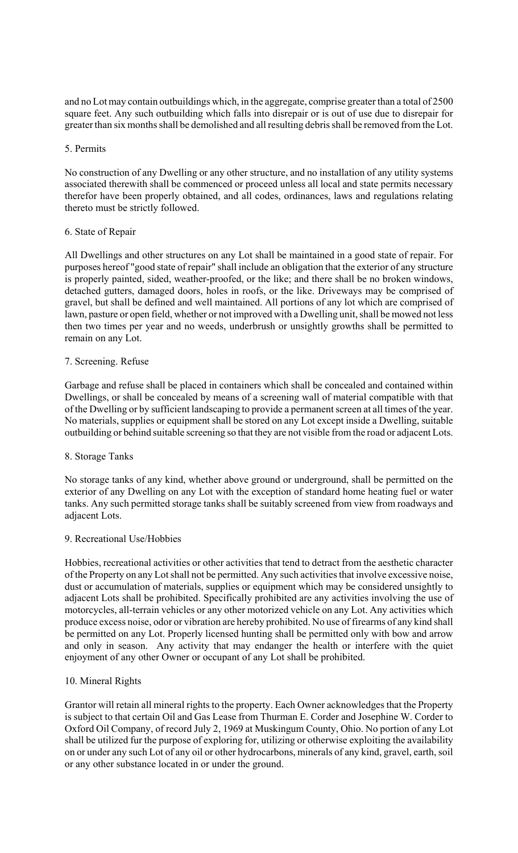and no Lot may contain outbuildings which, in the aggregate, comprise greater than a total of 2500 square feet. Any such outbuilding which falls into disrepair or is out of use due to disrepair for greater than six months shall be demolished and all resulting debris shall be removed from the Lot.

### 5. Permits

No construction of any Dwelling or any other structure, and no installation of any utility systems associated therewith shall be commenced or proceed unless all local and state permits necessary therefor have been properly obtained, and all codes, ordinances, laws and regulations relating thereto must be strictly followed.

### 6. State of Repair

All Dwellings and other structures on any Lot shall be maintained in a good state of repair. For purposes hereof "good state of repair" shall include an obligation that the exterior of any structure is properly painted, sided, weather-proofed, or the like; and there shall be no broken windows, detached gutters, damaged doors, holes in roofs, or the like. Driveways may be comprised of gravel, but shall be defined and well maintained. All portions of any lot which are comprised of lawn, pasture or open field, whether or not improved with a Dwelling unit, shall be mowed not less then two times per year and no weeds, underbrush or unsightly growths shall be permitted to remain on any Lot.

### 7. Screening. Refuse

Garbage and refuse shall be placed in containers which shall be concealed and contained within Dwellings, or shall be concealed by means of a screening wall of material compatible with that of the Dwelling or by sufficient landscaping to provide a permanent screen at all times of the year. No materials, supplies or equipment shall be stored on any Lot except inside a Dwelling, suitable outbuilding or behind suitable screening so that they are not visible from the road or adjacent Lots.

# 8. Storage Tanks

No storage tanks of any kind, whether above ground or underground, shall be permitted on the exterior of any Dwelling on any Lot with the exception of standard home heating fuel or water tanks. Any such permitted storage tanks shall be suitably screened from view from roadways and adjacent Lots.

#### 9. Recreational Use/Hobbies

Hobbies, recreational activities or other activities that tend to detract from the aesthetic character of the Property on any Lot shall not be permitted. Any such activities that involve excessive noise, dust or accumulation of materials, supplies or equipment which may be considered unsightly to adjacent Lots shall be prohibited. Specifically prohibited are any activities involving the use of motorcycles, all-terrain vehicles or any other motorized vehicle on any Lot. Any activities which produce excess noise, odor or vibration are hereby prohibited. No use of firearms of any kind shall be permitted on any Lot. Properly licensed hunting shall be permitted only with bow and arrow and only in season. Any activity that may endanger the health or interfere with the quiet enjoyment of any other Owner or occupant of any Lot shall be prohibited.

#### 10. Mineral Rights

Grantor will retain all mineral rights to the property. Each Owner acknowledgesthat the Property is subject to that certain Oil and Gas Lease from Thurman E. Corder and Josephine W. Corder to Oxford Oil Company, of record July 2, 1969 at Muskingum County, Ohio. No portion of any Lot shall be utilized fur the purpose of exploring for, utilizing or otherwise exploiting the availability on or under any such Lot of any oil or other hydrocarbons, minerals of any kind, gravel, earth, soil or any other substance located in or under the ground.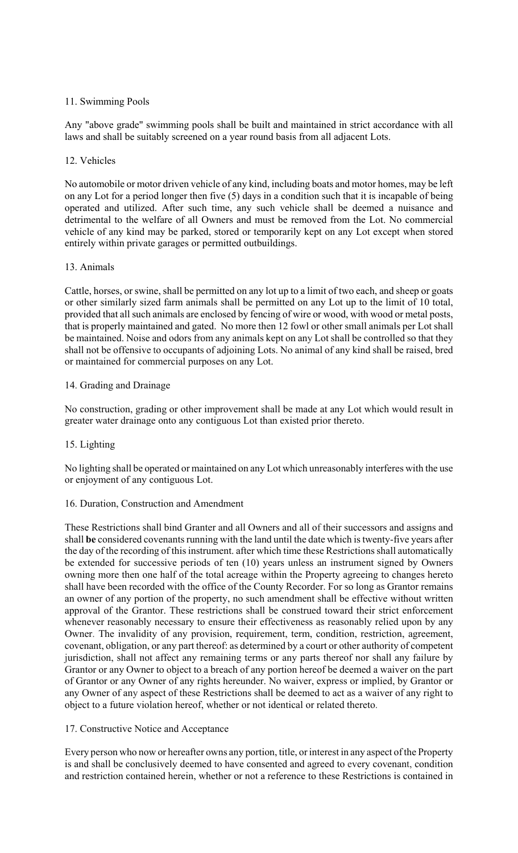# 11. Swimming Pools

Any "above grade" swimming pools shall be built and maintained in strict accordance with all laws and shall be suitably screened on a year round basis from all adjacent Lots.

# 12. Vehicles

No automobile or motor driven vehicle of any kind, including boats and motor homes, may be left on any Lot for a period longer then five (5) days in a condition such that it is incapable of being operated and utilized. After such time, any such vehicle shall be deemed a nuisance and detrimental to the welfare of all Owners and must be removed from the Lot. No commercial vehicle of any kind may be parked, stored or temporarily kept on any Lot except when stored entirely within private garages or permitted outbuildings.

# 13. Animals

Cattle, horses, or swine, shall be permitted on any lot up to a limit of two each, and sheep or goats or other similarly sized farm animals shall be permitted on any Lot up to the limit of 10 total, provided that all such animals are enclosed by fencing of wire or wood, with wood or metal posts, that is properly maintained and gated. No more then 12 fowl or other small animals per Lot shall be maintained. Noise and odors from any animals kept on any Lot shall be controlled so that they shall not be offensive to occupants of adjoining Lots. No animal of any kind shall be raised, bred or maintained for commercial purposes on any Lot.

# 14. Grading and Drainage

No construction, grading or other improvement shall be made at any Lot which would result in greater water drainage onto any contiguous Lot than existed prior thereto.

# 15. Lighting

No lighting shall be operated or maintained on any Lot which unreasonably interferes with the use or enjoyment of any contiguous Lot.

# 16. Duration, Construction and Amendment

These Restrictions shall bind Granter and all Owners and all of their successors and assigns and shall **be** considered covenants running with the land until the date which is twenty-five years after the day of the recording of this instrument. after which time these Restrictions shall automatically be extended for successive periods of ten (10) years unless an instrument signed by Owners owning more then one half of the total acreage within the Property agreeing to changes hereto shall have been recorded with the office of the County Recorder. For so long as Grantor remains an owner of any portion of the property, no such amendment shall be effective without written approval of the Grantor. These restrictions shall be construed toward their strict enforcement whenever reasonably necessary to ensure their effectiveness as reasonably relied upon by any Owner. The invalidity of any provision, requirement, term, condition, restriction, agreement, covenant, obligation, or any part thereof: as determined by a court or other authority of competent jurisdiction, shall not affect any remaining terms or any parts thereof nor shall any failure by Grantor or any Owner to object to a breach of any portion hereof be deemed a waiver on the part of Grantor or any Owner of any rights hereunder. No waiver, express or implied, by Grantor or any Owner of any aspect of these Restrictions shall be deemed to act as a waiver of any right to object to a future violation hereof, whether or not identical or related thereto.

# 17. Constructive Notice and Acceptance

Every person who now or hereafter owns any portion, title, or interest in any aspect of the Property is and shall be conclusively deemed to have consented and agreed to every covenant, condition and restriction contained herein, whether or not a reference to these Restrictions is contained in